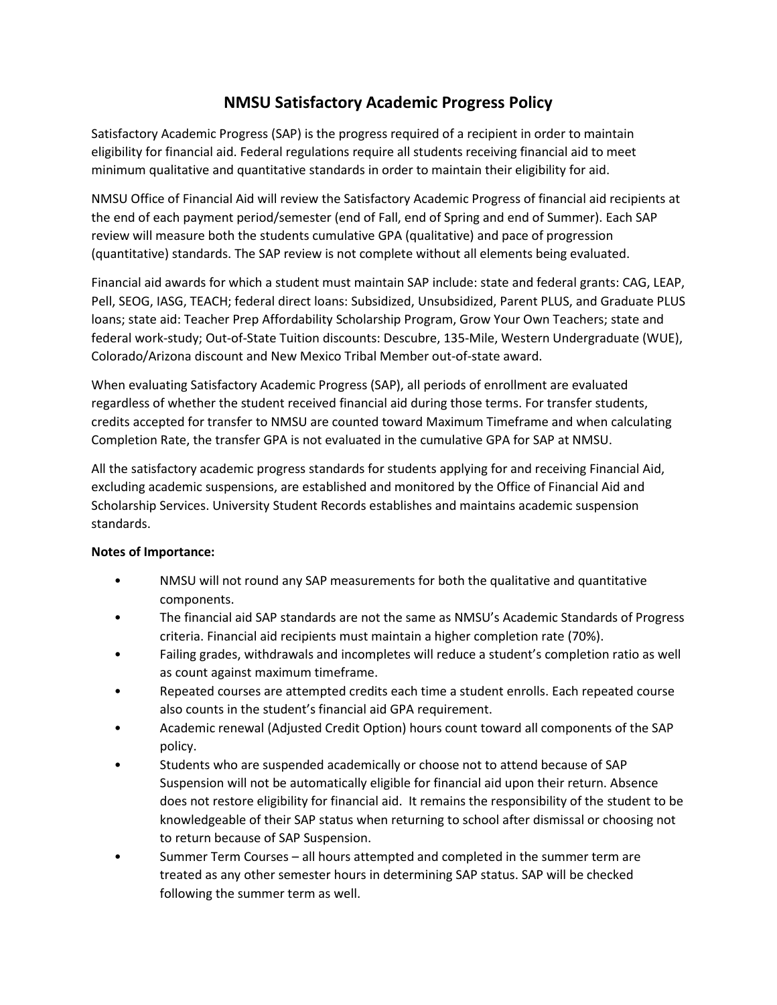# **NMSU Satisfactory Academic Progress Policy**

Satisfactory Academic Progress (SAP) is the progress required of a recipient in order to maintain eligibility for financial aid. Federal regulations require all students receiving financial aid to meet minimum qualitative and quantitative standards in order to maintain their eligibility for aid.

NMSU Office of Financial Aid will review the Satisfactory Academic Progress of financial aid recipients at the end of each payment period/semester (end of Fall, end of Spring and end of Summer). Each SAP review will measure both the students cumulative GPA (qualitative) and pace of progression (quantitative) standards. The SAP review is not complete without all elements being evaluated.

Financial aid awards for which a student must maintain SAP include: state and federal grants: CAG, LEAP, Pell, SEOG, IASG, TEACH; federal direct loans: Subsidized, Unsubsidized, Parent PLUS, and Graduate PLUS loans; state aid: Teacher Prep Affordability Scholarship Program, Grow Your Own Teachers; state and federal work-study; Out-of-State Tuition discounts: Descubre, 135-Mile, Western Undergraduate (WUE), Colorado/Arizona discount and New Mexico Tribal Member out-of-state award.

When evaluating Satisfactory Academic Progress (SAP), all periods of enrollment are evaluated regardless of whether the student received financial aid during those terms. For transfer students, credits accepted for transfer to NMSU are counted toward Maximum Timeframe and when calculating Completion Rate, the transfer GPA is not evaluated in the cumulative GPA for SAP at NMSU.

All the satisfactory academic progress standards for students applying for and receiving Financial Aid, excluding academic suspensions, are established and monitored by the Office of Financial Aid and Scholarship Services. University Student Records establishes and maintains academic suspension standards.

### **Notes of Importance:**

- NMSU will not round any SAP measurements for both the qualitative and quantitative components.
- The financial aid SAP standards are not the same as NMSU's Academic Standards of Progress criteria. Financial aid recipients must maintain a higher completion rate (70%).
- Failing grades, withdrawals and incompletes will reduce a student's completion ratio as well as count against maximum timeframe.
- Repeated courses are attempted credits each time a student enrolls. Each repeated course also counts in the student's financial aid GPA requirement.
- Academic renewal (Adjusted Credit Option) hours count toward all components of the SAP policy.
- Students who are suspended academically or choose not to attend because of SAP Suspension will not be automatically eligible for financial aid upon their return. Absence does not restore eligibility for financial aid. It remains the responsibility of the student to be knowledgeable of their SAP status when returning to school after dismissal or choosing not to return because of SAP Suspension.
- Summer Term Courses all hours attempted and completed in the summer term are treated as any other semester hours in determining SAP status. SAP will be checked following the summer term as well.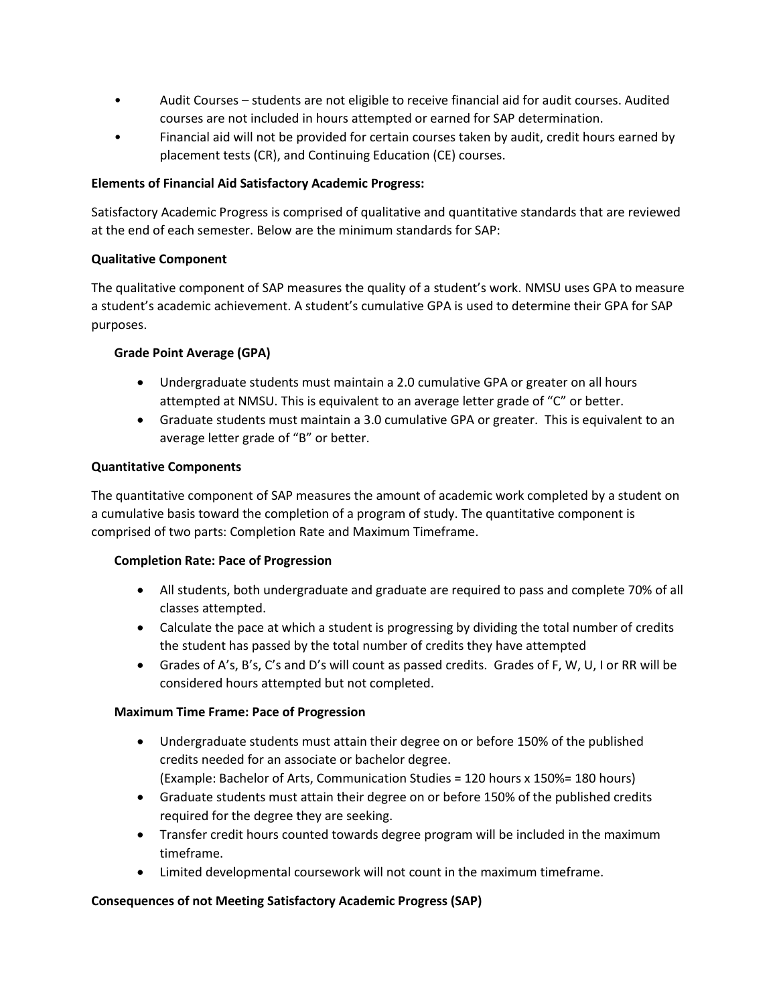- Audit Courses students are not eligible to receive financial aid for audit courses. Audited courses are not included in hours attempted or earned for SAP determination.
- Financial aid will not be provided for certain courses taken by audit, credit hours earned by placement tests (CR), and Continuing Education (CE) courses.

#### **Elements of Financial Aid Satisfactory Academic Progress:**

Satisfactory Academic Progress is comprised of qualitative and quantitative standards that are reviewed at the end of each semester. Below are the minimum standards for SAP:

#### **Qualitative Component**

The qualitative component of SAP measures the quality of a student's work. NMSU uses GPA to measure a student's academic achievement. A student's cumulative GPA is used to determine their GPA for SAP purposes.

#### **Grade Point Average (GPA)**

- Undergraduate students must maintain a 2.0 cumulative GPA or greater on all hours attempted at NMSU. This is equivalent to an average letter grade of "C" or better.
- Graduate students must maintain a 3.0 cumulative GPA or greater. This is equivalent to an average letter grade of "B" or better.

#### **Quantitative Components**

The quantitative component of SAP measures the amount of academic work completed by a student on a cumulative basis toward the completion of a program of study. The quantitative component is comprised of two parts: Completion Rate and Maximum Timeframe.

#### **Completion Rate: Pace of Progression**

- All students, both undergraduate and graduate are required to pass and complete 70% of all classes attempted.
- Calculate the pace at which a student is progressing by dividing the total number of credits the student has passed by the total number of credits they have attempted
- Grades of A's, B's, C's and D's will count as passed credits. Grades of F, W, U, I or RR will be considered hours attempted but not completed.

### **Maximum Time Frame: Pace of Progression**

- Undergraduate students must attain their degree on or before 150% of the published credits needed for an associate or bachelor degree. (Example: Bachelor of Arts, Communication Studies = 120 hours x 150%= 180 hours)
- Graduate students must attain their degree on or before 150% of the published credits required for the degree they are seeking.
- Transfer credit hours counted towards degree program will be included in the maximum timeframe.
- Limited developmental coursework will not count in the maximum timeframe.

### **Consequences of not Meeting Satisfactory Academic Progress (SAP)**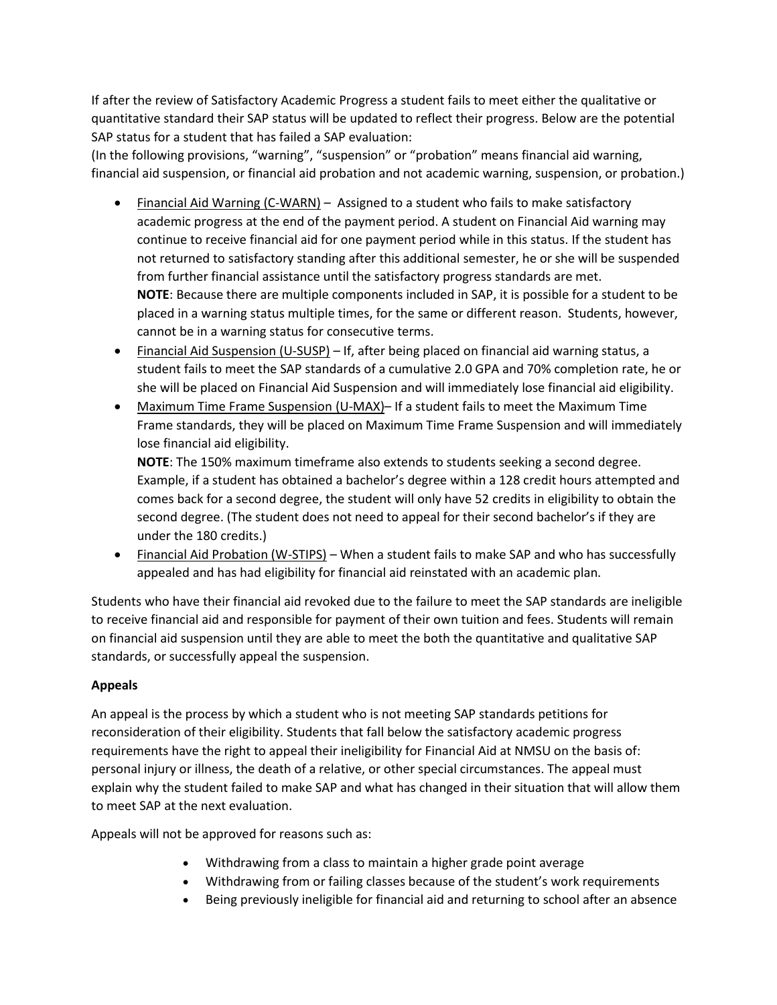If after the review of Satisfactory Academic Progress a student fails to meet either the qualitative or quantitative standard their SAP status will be updated to reflect their progress. Below are the potential SAP status for a student that has failed a SAP evaluation:

(In the following provisions, "warning", "suspension" or "probation" means financial aid warning, financial aid suspension, or financial aid probation and not academic warning, suspension, or probation.)

- Financial Aid Warning (C-WARN) Assigned to a student who fails to make satisfactory academic progress at the end of the payment period. A student on Financial Aid warning may continue to receive financial aid for one payment period while in this status. If the student has not returned to satisfactory standing after this additional semester, he or she will be suspended from further financial assistance until the satisfactory progress standards are met. **NOTE**: Because there are multiple components included in SAP, it is possible for a student to be placed in a warning status multiple times, for the same or different reason. Students, however, cannot be in a warning status for consecutive terms.
- Financial Aid Suspension (U-SUSP) If, after being placed on financial aid warning status, a student fails to meet the SAP standards of a cumulative 2.0 GPA and 70% completion rate, he or she will be placed on Financial Aid Suspension and will immediately lose financial aid eligibility.
- Maximum Time Frame Suspension (U-MAX)– If a student fails to meet the Maximum Time Frame standards, they will be placed on Maximum Time Frame Suspension and will immediately lose financial aid eligibility.

**NOTE**: The 150% maximum timeframe also extends to students seeking a second degree. Example, if a student has obtained a bachelor's degree within a 128 credit hours attempted and comes back for a second degree, the student will only have 52 credits in eligibility to obtain the second degree. (The student does not need to appeal for their second bachelor's if they are under the 180 credits.)

 Financial Aid Probation (W-STIPS) – When a student fails to make SAP and who has successfully appealed and has had eligibility for financial aid reinstated with an academic plan.

Students who have their financial aid revoked due to the failure to meet the SAP standards are ineligible to receive financial aid and responsible for payment of their own tuition and fees. Students will remain on financial aid suspension until they are able to meet the both the quantitative and qualitative SAP standards, or successfully appeal the suspension.

## **Appeals**

An appeal is the process by which a student who is not meeting SAP standards petitions for reconsideration of their eligibility. Students that fall below the satisfactory academic progress requirements have the right to appeal their ineligibility for Financial Aid at NMSU on the basis of: personal injury or illness, the death of a relative, or other special circumstances. The appeal must explain why the student failed to make SAP and what has changed in their situation that will allow them to meet SAP at the next evaluation.

Appeals will not be approved for reasons such as:

- Withdrawing from a class to maintain a higher grade point average
- Withdrawing from or failing classes because of the student's work requirements
- Being previously ineligible for financial aid and returning to school after an absence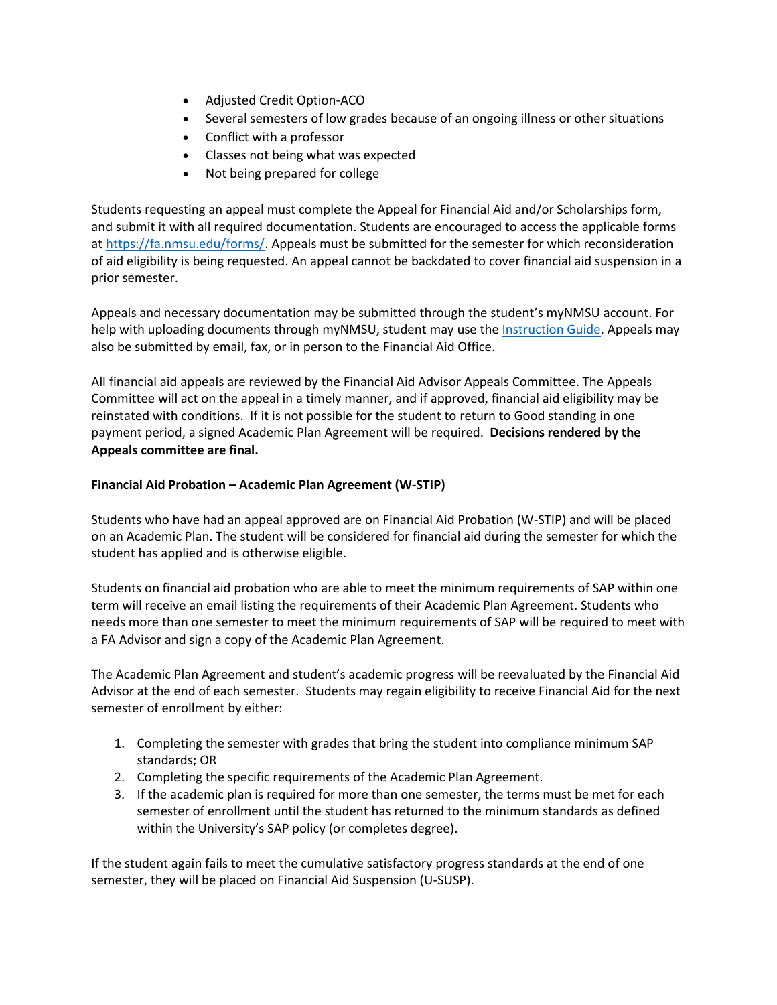- Adjusted Credit Option-ACO
- Several semesters of low grades because of an ongoing illness or other situations
- Conflict with a professor
- Classes not being what was expected
- Not being prepared for college

Students requesting an appeal must complete the Appeal for Financial Aid and/or Scholarships form, and submit it with all required documentation. Students are encouraged to access the applicable forms a[t https://fa.nmsu.edu/forms/.](https://fa.nmsu.edu/forms/) Appeals must be submitted for the semester for which reconsideration of aid eligibility is being requested. An appeal cannot be backdated to cover financial aid suspension in a prior semester.

Appeals and necessary documentation may be submitted through the student's myNMSU account. For help with uploading documents through myNMSU, student may use the [Instruction Guide.](https://fa.nmsu.edu/files/2016/02/FinancialAidInstructionGuide.pdf) Appeals may also be submitted by email, fax, or in person to the Financial Aid Office.

All financial aid appeals are reviewed by the Financial Aid Advisor Appeals Committee. The Appeals Committee will act on the appeal in a timely manner, and if approved, financial aid eligibility may be reinstated with conditions. If it is not possible for the student to return to Good standing in one payment period, a signed Academic Plan Agreement will be required. **Decisions rendered by the Appeals committee are final.**

#### **Financial Aid Probation – Academic Plan Agreement (W-STIP)**

Students who have had an appeal approved are on Financial Aid Probation (W-STIP) and will be placed on an Academic Plan. The student will be considered for financial aid during the semester for which the student has applied and is otherwise eligible.

Students on financial aid probation who are able to meet the minimum requirements of SAP within one term will receive an email listing the requirements of their Academic Plan Agreement. Students who needs more than one semester to meet the minimum requirements of SAP will be required to meet with a FA Advisor and sign a copy of the Academic Plan Agreement.

The Academic Plan Agreement and student's academic progress will be reevaluated by the Financial Aid Advisor at the end of each semester. Students may regain eligibility to receive Financial Aid for the next semester of enrollment by either:

- 1. Completing the semester with grades that bring the student into compliance minimum SAP standards; OR
- 2. Completing the specific requirements of the Academic Plan Agreement.
- 3. If the academic plan is required for more than one semester, the terms must be met for each semester of enrollment until the student has returned to the minimum standards as defined within the University's SAP policy (or completes degree).

If the student again fails to meet the cumulative satisfactory progress standards at the end of one semester, they will be placed on Financial Aid Suspension (U-SUSP).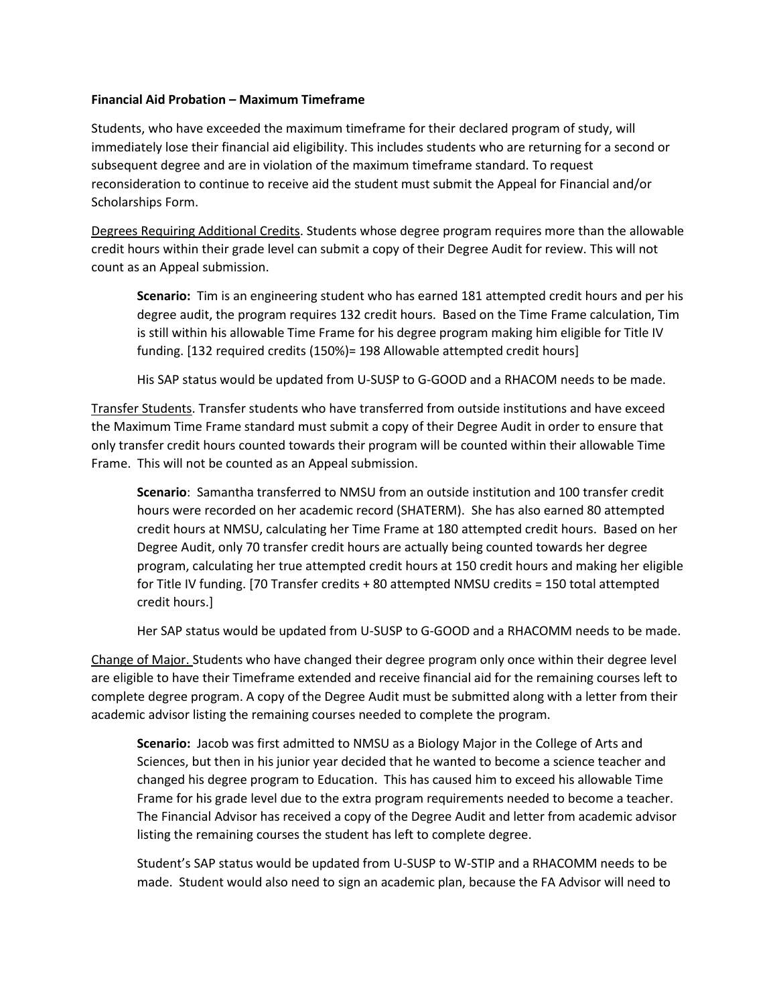#### **Financial Aid Probation – Maximum Timeframe**

Students, who have exceeded the maximum timeframe for their declared program of study, will immediately lose their financial aid eligibility. This includes students who are returning for a second or subsequent degree and are in violation of the maximum timeframe standard. To request reconsideration to continue to receive aid the student must submit the Appeal for Financial and/or Scholarships Form.

Degrees Requiring Additional Credits. Students whose degree program requires more than the allowable credit hours within their grade level can submit a copy of their Degree Audit for review. This will not count as an Appeal submission.

**Scenario:** Tim is an engineering student who has earned 181 attempted credit hours and per his degree audit, the program requires 132 credit hours. Based on the Time Frame calculation, Tim is still within his allowable Time Frame for his degree program making him eligible for Title IV funding. [132 required credits (150%)= 198 Allowable attempted credit hours]

His SAP status would be updated from U-SUSP to G-GOOD and a RHACOM needs to be made.

Transfer Students. Transfer students who have transferred from outside institutions and have exceed the Maximum Time Frame standard must submit a copy of their Degree Audit in order to ensure that only transfer credit hours counted towards their program will be counted within their allowable Time Frame. This will not be counted as an Appeal submission.

**Scenario**: Samantha transferred to NMSU from an outside institution and 100 transfer credit hours were recorded on her academic record (SHATERM). She has also earned 80 attempted credit hours at NMSU, calculating her Time Frame at 180 attempted credit hours. Based on her Degree Audit, only 70 transfer credit hours are actually being counted towards her degree program, calculating her true attempted credit hours at 150 credit hours and making her eligible for Title IV funding. [70 Transfer credits + 80 attempted NMSU credits = 150 total attempted credit hours.]

Her SAP status would be updated from U-SUSP to G-GOOD and a RHACOMM needs to be made.

Change of Major. Students who have changed their degree program only once within their degree level are eligible to have their Timeframe extended and receive financial aid for the remaining courses left to complete degree program. A copy of the Degree Audit must be submitted along with a letter from their academic advisor listing the remaining courses needed to complete the program.

**Scenario:** Jacob was first admitted to NMSU as a Biology Major in the College of Arts and Sciences, but then in his junior year decided that he wanted to become a science teacher and changed his degree program to Education. This has caused him to exceed his allowable Time Frame for his grade level due to the extra program requirements needed to become a teacher. The Financial Advisor has received a copy of the Degree Audit and letter from academic advisor listing the remaining courses the student has left to complete degree.

Student's SAP status would be updated from U-SUSP to W-STIP and a RHACOMM needs to be made. Student would also need to sign an academic plan, because the FA Advisor will need to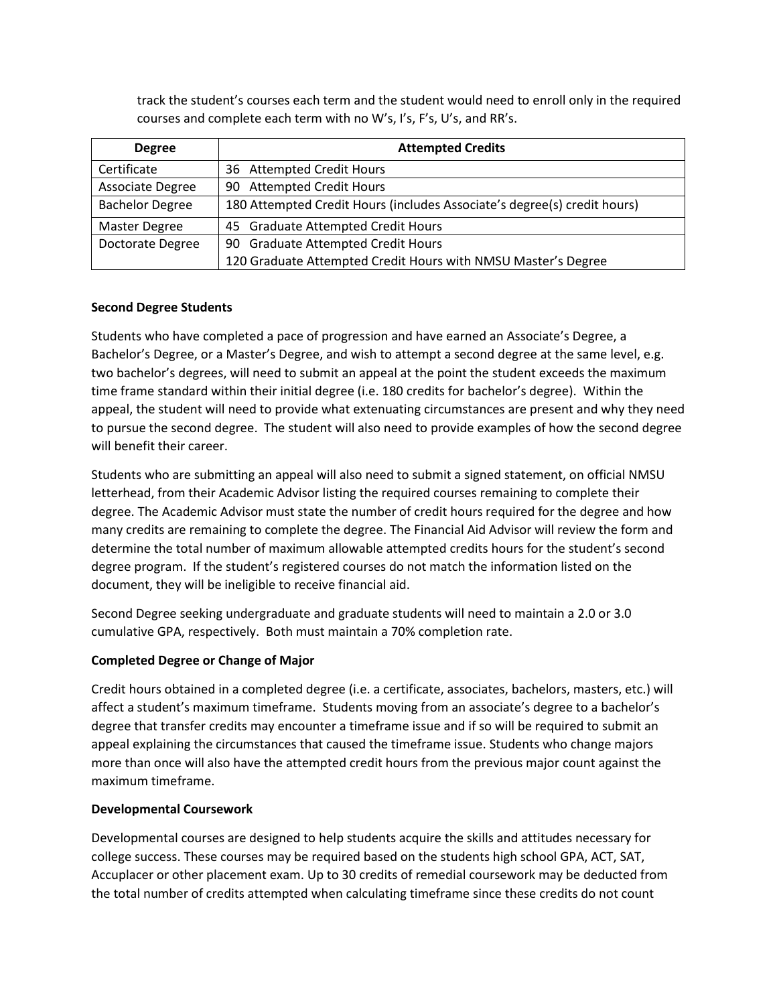track the student's courses each term and the student would need to enroll only in the required courses and complete each term with no W's, I's, F's, U's, and RR's.

| <b>Degree</b>          | <b>Attempted Credits</b>                                                 |
|------------------------|--------------------------------------------------------------------------|
| Certificate            | 36 Attempted Credit Hours                                                |
| Associate Degree       | 90 Attempted Credit Hours                                                |
| <b>Bachelor Degree</b> | 180 Attempted Credit Hours (includes Associate's degree(s) credit hours) |
| Master Degree          | 45 Graduate Attempted Credit Hours                                       |
| Doctorate Degree       | 90 Graduate Attempted Credit Hours                                       |
|                        | 120 Graduate Attempted Credit Hours with NMSU Master's Degree            |

#### **Second Degree Students**

Students who have completed a pace of progression and have earned an Associate's Degree, a Bachelor's Degree, or a Master's Degree, and wish to attempt a second degree at the same level, e.g. two bachelor's degrees, will need to submit an appeal at the point the student exceeds the maximum time frame standard within their initial degree (i.e. 180 credits for bachelor's degree). Within the appeal, the student will need to provide what extenuating circumstances are present and why they need to pursue the second degree. The student will also need to provide examples of how the second degree will benefit their career.

Students who are submitting an appeal will also need to submit a signed statement, on official NMSU letterhead, from their Academic Advisor listing the required courses remaining to complete their degree. The Academic Advisor must state the number of credit hours required for the degree and how many credits are remaining to complete the degree. The Financial Aid Advisor will review the form and determine the total number of maximum allowable attempted credits hours for the student's second degree program. If the student's registered courses do not match the information listed on the document, they will be ineligible to receive financial aid.

Second Degree seeking undergraduate and graduate students will need to maintain a 2.0 or 3.0 cumulative GPA, respectively. Both must maintain a 70% completion rate.

### **Completed Degree or Change of Major**

Credit hours obtained in a completed degree (i.e. a certificate, associates, bachelors, masters, etc.) will affect a student's maximum timeframe. Students moving from an associate's degree to a bachelor's degree that transfer credits may encounter a timeframe issue and if so will be required to submit an appeal explaining the circumstances that caused the timeframe issue. Students who change majors more than once will also have the attempted credit hours from the previous major count against the maximum timeframe.

#### **Developmental Coursework**

Developmental courses are designed to help students acquire the skills and attitudes necessary for college success. These courses may be required based on the students high school GPA, ACT, SAT, Accuplacer or other placement exam. Up to 30 credits of remedial coursework may be deducted from the total number of credits attempted when calculating timeframe since these credits do not count